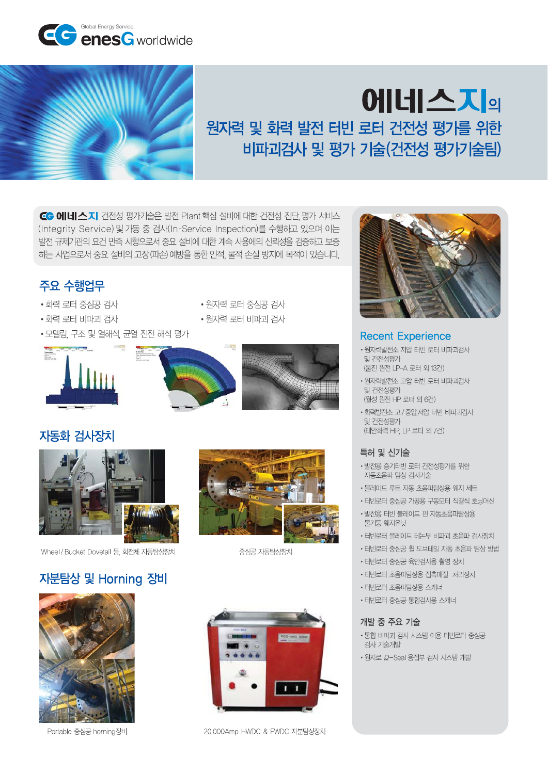

# **에네스지** 원자력 및 화력 발전 터빈 로터 건전성 평가를 위한 비파괴검사 및 평가 기술(건전성 평가기술팀)

CG 에네스지 건전성 평가기술은 발전 Plant 핵심 설비에 대한 건전성 진단 평가 서비스 (Integrity Service) 및 가동 중 검사(In-Service Inspection)를 수행하고 있으며 이는 발전 규제기관의 요건 만족 사항으로서 중요 설비에 대한 계속 사용에의 신뢰성을 검증하고 보증 하는 사업으로서 중요 설비의 고장(파손) 예방을 통한 인적, 물적 손실 방지에 목적이 있습니다.



- 화력 로터 중심공 검사
- 화력 로터 비파괴 검사
- 모델링, 구조 및 열해석, 균열 진전 해석 평가







• 원자력 로터 비파괴 검사



## 자동화 검사장치



Wheel / Bucket Dovetail 등, 회전체 자동탐상장치

# 자분탐상 및 Horning 장비



Portable 중심공 horning장비



중심공 자동탐상장치



20,000Amp HWDC & FWDC 자분탐상장치



### **Recent Experience**

- 워자력발전소 저압 터빈 로터 비파괴검사 및 건전성평가 (울진 원전 LP-A 로터 외 13건)
- 원자력발전소 고압 터빈 로터 비파괴검사 및 건전성평가 (월성 원전 HP 로터 외 6건)
- 화력발전소 고 / 중압,저압 터빈 비파괴검사 및 거저성평가 (태안화력 HP, LP 로터 외 7건)

### 특허 및 신기술

- 발전용 증기터빈 로터 건전성평가를 위한 자동초음파 탐상 검사기술
- 블레이드 루트 자동 초음파탐상용 웨지 세트
- 터빈로터 중심공 가공용 구동모터 직결식 호닝머신
- 발전용 터빈 블레이드 핀 자동초음파탐상용 물기둥 웨지유닛
- 터빈로터 블레이드 테논부 비파괴 초음파 검사장치
- 터빈로터 중심공 휠 도브테일 자동 초음파 탐상 방법
- 터빈로터 중심공 육안검사용 촬영 장치
- 터빈로터 초음파탐상용 접촉매질 처리장치
- 터빈로터 초음파탐상용 스캐너
- 터빈로터 중심공 통합검사용 스캐너

#### 개발 중 주요 기술

- 통합 비파괴 검사 시스템 이용 터빈로타 중심공 검사 기술개발
- 원자로  $\Omega$ -Seal 용접부 검사 시스템 개발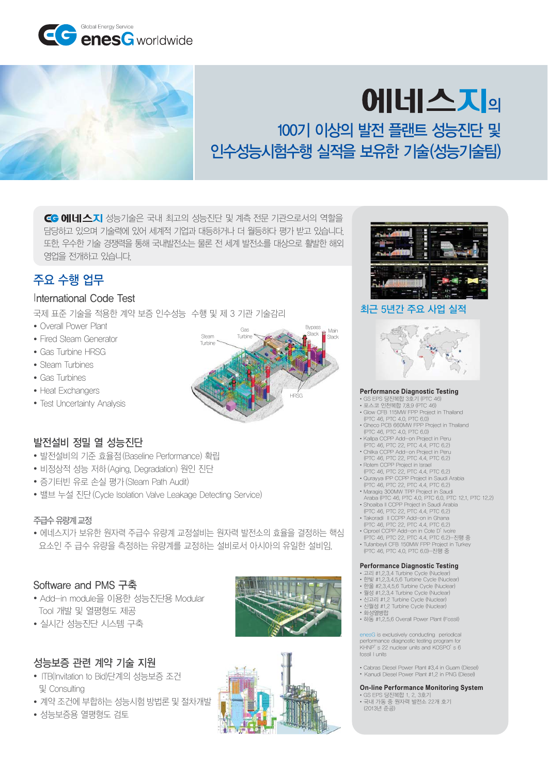



# **에네스지** 100기 이상의 발전 플랜트 성능진단 및 인수성능시험수행 실적을 보유한 기술(성능기술팀)

CG 에네스지 성능기술은 국내 최고의 성능진단 및 계측 전문 기관으로서의 역할을 담당하고 있으며 기술력에 있어 세계적 기업과 대등하거나 더 월등하다 평가 받고 있습니다. 또한 우수한 기술 경쟁력을 통해 국내발전소는 물론 전 세계 발전소를 대상으로 활발한 해외 영업을 전개하고 있습니다.

# 주요 수행 업무

#### International Code Test

국제 표준 기술을 적용한 계약 보증 인수성능 수행 및 제 3 기관 기술감리

- Overall Power Plant
- Fired Steam Generator
- Gas Turbine HRSG
- Steam Turbines
- Gas Turbines
- Heat Exchangers
- Test Uncertainty Analysis



### 발전설비 정밀 열 성능진단

- ∙ 발전설비의 기준 효율점(Baseline Performance) 확립
- 비정상적 성능 저하(Aging, Degradation) 원인 진단
- 증기터빈 유로 손실 평가(Steam Path Audit)
- 밸브 누설 진단 (Cycle Isolation Valve Leakage Detecting Service)

#### 주급수 유량계 교정

• 에네스지가 보유한 원자력 주급수 유량계 교정설비는 원자력 발전소의 효율을 결정하는 핵심 요소인 주 급수 유량을 측정하는 유량계를 교정하는 설비로서 아시아의 유일한 설비임.

#### Software and PMS 구축

- Add-in module을 이용한 성능진단용 Modular Tool 개발 및 열평형도 제공
- 실시간 성능진단 시스템 구축

### 성능보증 관련 계약 기술 지원

- ITB(Invitation to Bid)단계의 성능보증 조건 및 Consulting
- 계약 조건에 부합하는 성능시험 방법론 및 절차개발
- $\bullet$  성능보증용 열평형도 검토







#### 최근 5년간 주요 사업 실적



- GS EPS 당진복합 3호기 (PTC 46)<br>• GS EPS 당진복합 3호기 (PTC 46)<br>• 포스코 인천복합 7,8,9 (PTC 46) )
- 
- Glow CFB 115MW FPP Project in Thailand (PTC 46, PTC 4.0, PTC 6.0)
- Gheco PCB 660MW FPP Project in Thailand<br>(PTC 46, PTC 4.0, PTC 6.0)
- Kallpa CCPP Add-on Project in Peru
- (PTC 46, PTC 22, PTC 4.4, PTC 6.2)<br>Chilka CCPP Add—on Project in Peru •
- 
- (PTC 46, PTC 22, PTC 4.4, PTC 6.2)<br>• Rotem CCPP Project in Israel
- (PTC 46, PTC 22, PTC 4.4, PTC 6.2)
- Qurayya IPP CCPP Project in Saudi Arabia<br>(PTC 46, PTC 22, PTC 4.4, PTC 6.2)
- 
- Maragiq 300MW TPP Project in Saudi<br>Araba (PTC 46, PTC 4.0, PTC 6.0, PTC 12.1, PTC 12.2)
- Shoaiba II CCPP Project in Saudi Arabia (PTC 46, PTC 22, PTC 4.4, PTC 6.2)
- Takoradi II CCPP Add-on in Ghana •<br>(PTC 46, PTC 22, PTC 4.4, PTC 6.2)
- 
- Ciproel CCPP Add—on in Cote D' Ivoire<br>(PTC 46, PTC 22, PTC 4.4, PTC 6.2)—진행 중<br>• Tufanbeyli CFB 150MW FPP Project in Turkey
- (PTC 46, PTC 4.0, PTC 6.0)—진행 중

- 고리 #1,2,3,4 Turbine Cycle (Nuclear)<br>• 한빛 #1,2,3,4,5,6 Turbine Cycle (Nuclear)<br>• 한울 #2,3,4,5,6 Turbine Cycle (Nuclear)
- 
- 월성 #1,2,3,4 Turbine Cycle (Nuclear)
- 신고리 #1,2 Turbine Cycle (Nuclear)<br>• 신월성 #1,2 Turbine Cycle (Nuclear)
- 화성열병합
- 하동 #1,2,5,6 Overall Power Plant (Fossil)

enesG is exclusively conducting periodical performance diagnostic testing program for<br>KHNP's 22 nuclear units and KOSPO's 6 fossil Lunits

• Cabras Diesel Power Plant #3,4 in Guam (Diesel) • Kanudi Diesel Power Plant #1,2 in PNG (Diesel)

• GS EPS 당진복합 1, 2, 3호기<br>• 국내 가동 중 원자력 발전소 22개 호기  $(2013H - \pm 2)$